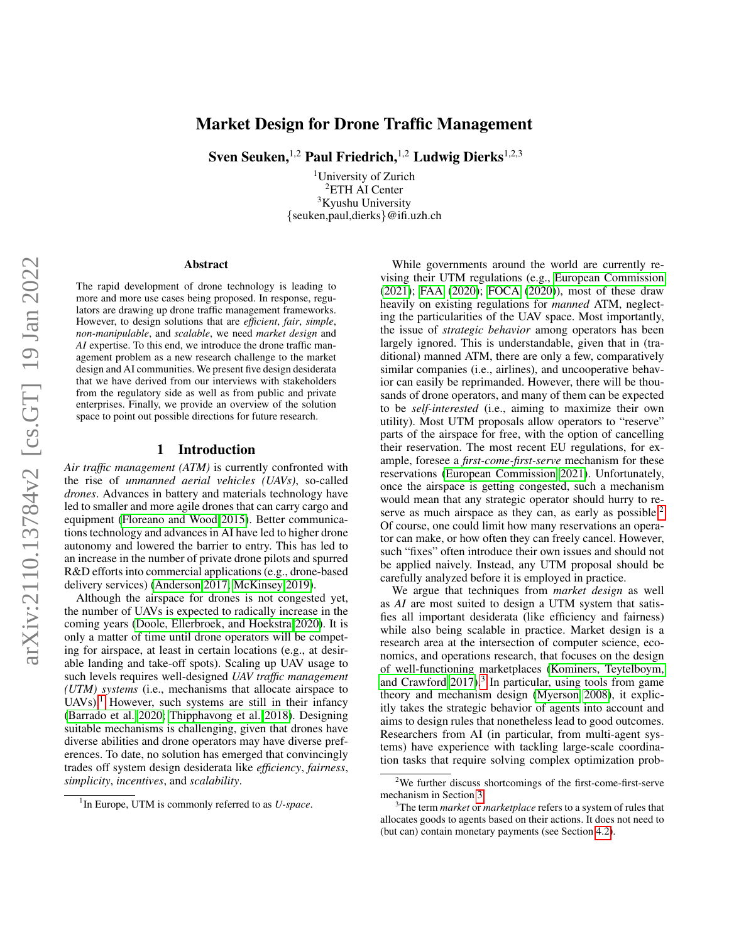# Market Design for Drone Traffic Management

Sven Seuken,  $1,2$  Paul Friedrich,  $1,2$  Ludwig Dierks  $1,2,3$ 

<sup>1</sup>University of Zurich <sup>2</sup>ETH AI Center <sup>3</sup>Kyushu University {seuken,paul,dierks}@ifi.uzh.ch

#### Abstract

The rapid development of drone technology is leading to more and more use cases being proposed. In response, regulators are drawing up drone traffic management frameworks. However, to design solutions that are *efficient*, *fair*, *simple*, *non-manipulable*, and *scalable*, we need *market design* and *AI* expertise. To this end, we introduce the drone traffic management problem as a new research challenge to the market design and AI communities. We present five design desiderata that we have derived from our interviews with stakeholders from the regulatory side as well as from public and private enterprises. Finally, we provide an overview of the solution space to point out possible directions for future research.

### 1 Introduction

*Air traffic management (ATM)* is currently confronted with the rise of *unmanned aerial vehicles (UAVs)*, so-called *drones*. Advances in battery and materials technology have led to smaller and more agile drones that can carry cargo and equipment [\(Floreano and Wood 2015\)](#page-5-0). Better communications technology and advances in AI have led to higher drone autonomy and lowered the barrier to entry. This has led to an increase in the number of private drone pilots and spurred R&D efforts into commercial applications (e.g., drone-based delivery services) [\(Anderson 2017;](#page-5-1) [McKinsey 2019\)](#page-6-0).

Although the airspace for drones is not congested yet, the number of UAVs is expected to radically increase in the coming years [\(Doole, Ellerbroek, and Hoekstra 2020\)](#page-5-2). It is only a matter of time until drone operators will be competing for airspace, at least in certain locations (e.g., at desirable landing and take-off spots). Scaling up UAV usage to such levels requires well-designed *UAV traffic management (UTM) systems* (i.e., mechanisms that allocate airspace to  $UAVs$ .<sup>[1](#page-0-0)</sup> However, such systems are still in their infancy [\(Barrado et al. 2020;](#page-5-3) [Thipphavong et al. 2018\)](#page-6-1). Designing suitable mechanisms is challenging, given that drones have diverse abilities and drone operators may have diverse preferences. To date, no solution has emerged that convincingly trades off system design desiderata like *efficiency*, *fairness*, *simplicity*, *incentives*, and *scalability*.

While governments around the world are currently revising their UTM regulations (e.g., [European Commission](#page-5-4) [\(2021\)](#page-5-4); [FAA](#page-5-5) [\(2020\)](#page-5-5); [FOCA](#page-5-6) [\(2020\)](#page-5-6)), most of these draw heavily on existing regulations for *manned* ATM, neglecting the particularities of the UAV space. Most importantly, the issue of *strategic behavior* among operators has been largely ignored. This is understandable, given that in (traditional) manned ATM, there are only a few, comparatively similar companies (i.e., airlines), and uncooperative behavior can easily be reprimanded. However, there will be thousands of drone operators, and many of them can be expected to be *self-interested* (i.e., aiming to maximize their own utility). Most UTM proposals allow operators to "reserve" parts of the airspace for free, with the option of cancelling their reservation. The most recent EU regulations, for example, foresee a *first-come-first-serve* mechanism for these reservations [\(European Commission 2021\)](#page-5-4). Unfortunately, once the airspace is getting congested, such a mechanism would mean that any strategic operator should hurry to re-serve as much airspace as they can, as early as possible.<sup>[2](#page-0-1)</sup> Of course, one could limit how many reservations an operator can make, or how often they can freely cancel. However, such "fixes" often introduce their own issues and should not be applied naively. Instead, any UTM proposal should be carefully analyzed before it is employed in practice.

We argue that techniques from *market design* as well as *AI* are most suited to design a UTM system that satisfies all important desiderata (like efficiency and fairness) while also being scalable in practice. Market design is a research area at the intersection of computer science, economics, and operations research, that focuses on the design of well-functioning marketplaces [\(Kominers, Teytelboym,](#page-5-7) and Crawford  $2017$ ).<sup>[3](#page-0-2)</sup> In particular, using tools from game theory and mechanism design [\(Myerson 2008\)](#page-6-2), it explicitly takes the strategic behavior of agents into account and aims to design rules that nonetheless lead to good outcomes. Researchers from AI (in particular, from multi-agent systems) have experience with tackling large-scale coordination tasks that require solving complex optimization prob-

<span id="page-0-0"></span><sup>&</sup>lt;sup>1</sup> In Europe, UTM is commonly referred to as *U-space*.

<span id="page-0-1"></span> $2$ We further discuss shortcomings of the first-come-first-serve mechanism in Section [3.](#page-1-0)

<span id="page-0-2"></span><sup>3</sup>The term *market* or *marketplace* refers to a system of rules that allocates goods to agents based on their actions. It does not need to (but can) contain monetary payments (see Section [4.2\)](#page-3-0).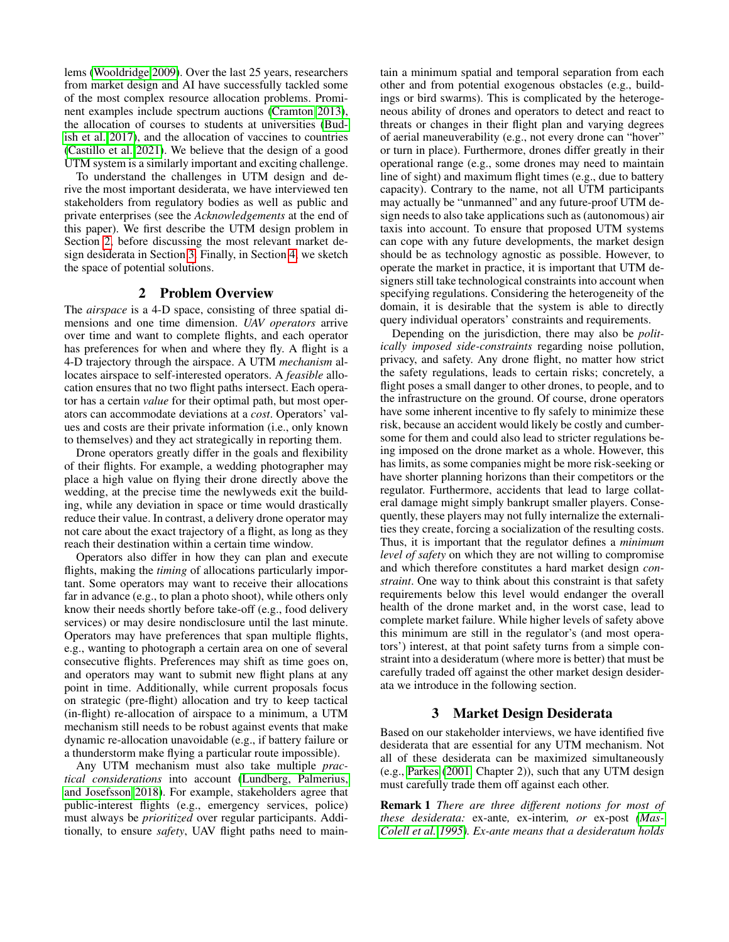lems [\(Wooldridge 2009\)](#page-6-3). Over the last 25 years, researchers from market design and AI have successfully tackled some of the most complex resource allocation problems. Prominent examples include spectrum auctions [\(Cramton 2013\)](#page-5-8), the allocation of courses to students at universities [\(Bud](#page-5-9)[ish et al. 2017\)](#page-5-9), and the allocation of vaccines to countries [\(Castillo et al. 2021\)](#page-5-10). We believe that the design of a good UTM system is a similarly important and exciting challenge.

To understand the challenges in UTM design and derive the most important desiderata, we have interviewed ten stakeholders from regulatory bodies as well as public and private enterprises (see the *Acknowledgements* at the end of this paper). We first describe the UTM design problem in Section [2,](#page-1-1) before discussing the most relevant market design desiderata in Section [3.](#page-1-0) Finally, in Section [4,](#page-3-1) we sketch the space of potential solutions.

### 2 Problem Overview

<span id="page-1-1"></span>The *airspace* is a 4-D space, consisting of three spatial dimensions and one time dimension. *UAV operators* arrive over time and want to complete flights, and each operator has preferences for when and where they fly. A flight is a 4-D trajectory through the airspace. A UTM *mechanism* allocates airspace to self-interested operators. A *feasible* allocation ensures that no two flight paths intersect. Each operator has a certain *value* for their optimal path, but most operators can accommodate deviations at a *cost*. Operators' values and costs are their private information (i.e., only known to themselves) and they act strategically in reporting them.

Drone operators greatly differ in the goals and flexibility of their flights. For example, a wedding photographer may place a high value on flying their drone directly above the wedding, at the precise time the newlyweds exit the building, while any deviation in space or time would drastically reduce their value. In contrast, a delivery drone operator may not care about the exact trajectory of a flight, as long as they reach their destination within a certain time window.

Operators also differ in how they can plan and execute flights, making the *timing* of allocations particularly important. Some operators may want to receive their allocations far in advance (e.g., to plan a photo shoot), while others only know their needs shortly before take-off (e.g., food delivery services) or may desire nondisclosure until the last minute. Operators may have preferences that span multiple flights, e.g., wanting to photograph a certain area on one of several consecutive flights. Preferences may shift as time goes on, and operators may want to submit new flight plans at any point in time. Additionally, while current proposals focus on strategic (pre-flight) allocation and try to keep tactical (in-flight) re-allocation of airspace to a minimum, a UTM mechanism still needs to be robust against events that make dynamic re-allocation unavoidable (e.g., if battery failure or a thunderstorm make flying a particular route impossible).

Any UTM mechanism must also take multiple *practical considerations* into account [\(Lundberg, Palmerius,](#page-6-4) [and Josefsson 2018\)](#page-6-4). For example, stakeholders agree that public-interest flights (e.g., emergency services, police) must always be *prioritized* over regular participants. Additionally, to ensure *safety*, UAV flight paths need to main-

tain a minimum spatial and temporal separation from each other and from potential exogenous obstacles (e.g., buildings or bird swarms). This is complicated by the heterogeneous ability of drones and operators to detect and react to threats or changes in their flight plan and varying degrees of aerial maneuverability (e.g., not every drone can "hover" or turn in place). Furthermore, drones differ greatly in their operational range (e.g., some drones may need to maintain line of sight) and maximum flight times (e.g., due to battery capacity). Contrary to the name, not all UTM participants may actually be "unmanned" and any future-proof UTM design needs to also take applications such as (autonomous) air taxis into account. To ensure that proposed UTM systems can cope with any future developments, the market design should be as technology agnostic as possible. However, to operate the market in practice, it is important that UTM designers still take technological constraints into account when specifying regulations. Considering the heterogeneity of the domain, it is desirable that the system is able to directly query individual operators' constraints and requirements.

Depending on the jurisdiction, there may also be *politically imposed side-constraints* regarding noise pollution, privacy, and safety. Any drone flight, no matter how strict the safety regulations, leads to certain risks; concretely, a flight poses a small danger to other drones, to people, and to the infrastructure on the ground. Of course, drone operators have some inherent incentive to fly safely to minimize these risk, because an accident would likely be costly and cumbersome for them and could also lead to stricter regulations being imposed on the drone market as a whole. However, this has limits, as some companies might be more risk-seeking or have shorter planning horizons than their competitors or the regulator. Furthermore, accidents that lead to large collateral damage might simply bankrupt smaller players. Consequently, these players may not fully internalize the externalities they create, forcing a socialization of the resulting costs. Thus, it is important that the regulator defines a *minimum level of safety* on which they are not willing to compromise and which therefore constitutes a hard market design *constraint*. One way to think about this constraint is that safety requirements below this level would endanger the overall health of the drone market and, in the worst case, lead to complete market failure. While higher levels of safety above this minimum are still in the regulator's (and most operators') interest, at that point safety turns from a simple constraint into a desideratum (where more is better) that must be carefully traded off against the other market design desiderata we introduce in the following section.

## 3 Market Design Desiderata

<span id="page-1-0"></span>Based on our stakeholder interviews, we have identified five desiderata that are essential for any UTM mechanism. Not all of these desiderata can be maximized simultaneously (e.g., [Parkes](#page-6-5) [\(2001,](#page-6-5) Chapter 2)), such that any UTM design must carefully trade them off against each other.

Remark 1 *There are three different notions for most of these desiderata:* ex-ante*,* ex-interim*, or* ex-post *[\(Mas-](#page-6-6)[Colell et al. 1995\)](#page-6-6). Ex-ante means that a desideratum holds*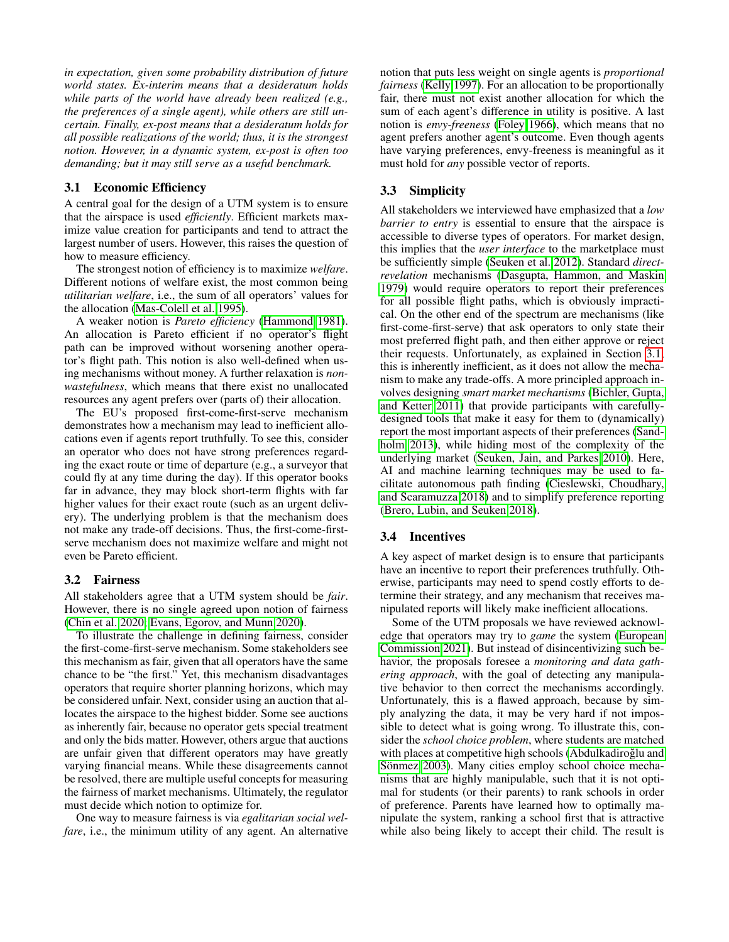*in expectation, given some probability distribution of future world states. Ex-interim means that a desideratum holds while parts of the world have already been realized (e.g., the preferences of a single agent), while others are still uncertain. Finally, ex-post means that a desideratum holds for all possible realizations of the world; thus, it is the strongest notion. However, in a dynamic system, ex-post is often too demanding; but it may still serve as a useful benchmark.*

### <span id="page-2-0"></span>3.1 Economic Efficiency

A central goal for the design of a UTM system is to ensure that the airspace is used *efficiently*. Efficient markets maximize value creation for participants and tend to attract the largest number of users. However, this raises the question of how to measure efficiency.

The strongest notion of efficiency is to maximize *welfare*. Different notions of welfare exist, the most common being *utilitarian welfare*, i.e., the sum of all operators' values for the allocation [\(Mas-Colell et al. 1995\)](#page-6-6).

A weaker notion is *Pareto efficiency* [\(Hammond 1981\)](#page-5-11). An allocation is Pareto efficient if no operator's flight path can be improved without worsening another operator's flight path. This notion is also well-defined when using mechanisms without money. A further relaxation is *nonwastefulness*, which means that there exist no unallocated resources any agent prefers over (parts of) their allocation.

The EU's proposed first-come-first-serve mechanism demonstrates how a mechanism may lead to inefficient allocations even if agents report truthfully. To see this, consider an operator who does not have strong preferences regarding the exact route or time of departure (e.g., a surveyor that could fly at any time during the day). If this operator books far in advance, they may block short-term flights with far higher values for their exact route (such as an urgent delivery). The underlying problem is that the mechanism does not make any trade-off decisions. Thus, the first-come-firstserve mechanism does not maximize welfare and might not even be Pareto efficient.

### 3.2 Fairness

All stakeholders agree that a UTM system should be *fair*. However, there is no single agreed upon notion of fairness [\(Chin et al. 2020;](#page-5-12) [Evans, Egorov, and Munn 2020\)](#page-5-13).

To illustrate the challenge in defining fairness, consider the first-come-first-serve mechanism. Some stakeholders see this mechanism as fair, given that all operators have the same chance to be "the first." Yet, this mechanism disadvantages operators that require shorter planning horizons, which may be considered unfair. Next, consider using an auction that allocates the airspace to the highest bidder. Some see auctions as inherently fair, because no operator gets special treatment and only the bids matter. However, others argue that auctions are unfair given that different operators may have greatly varying financial means. While these disagreements cannot be resolved, there are multiple useful concepts for measuring the fairness of market mechanisms. Ultimately, the regulator must decide which notion to optimize for.

One way to measure fairness is via *egalitarian social welfare*, i.e., the minimum utility of any agent. An alternative

notion that puts less weight on single agents is *proportional fairness* [\(Kelly 1997\)](#page-5-14). For an allocation to be proportionally fair, there must not exist another allocation for which the sum of each agent's difference in utility is positive. A last notion is *envy-freeness* [\(Foley 1966\)](#page-5-15), which means that no agent prefers another agent's outcome. Even though agents have varying preferences, envy-freeness is meaningful as it must hold for *any* possible vector of reports.

### 3.3 Simplicity

All stakeholders we interviewed have emphasized that a *low barrier to entry* is essential to ensure that the airspace is accessible to diverse types of operators. For market design, this implies that the *user interface* to the marketplace must be sufficiently simple [\(Seuken et al. 2012\)](#page-6-7). Standard *directrevelation* mechanisms [\(Dasgupta, Hammon, and Maskin](#page-5-16) [1979\)](#page-5-16) would require operators to report their preferences for all possible flight paths, which is obviously impractical. On the other end of the spectrum are mechanisms (like first-come-first-serve) that ask operators to only state their most preferred flight path, and then either approve or reject their requests. Unfortunately, as explained in Section [3.1,](#page-2-0) this is inherently inefficient, as it does not allow the mechanism to make any trade-offs. A more principled approach involves designing *smart market mechanisms* [\(Bichler, Gupta,](#page-5-17) [and Ketter 2011\)](#page-5-17) that provide participants with carefullydesigned tools that make it easy for them to (dynamically) report the most important aspects of their preferences [\(Sand](#page-6-8)[holm 2013\)](#page-6-8), while hiding most of the complexity of the underlying market [\(Seuken, Jain, and Parkes 2010\)](#page-6-9). Here, AI and machine learning techniques may be used to facilitate autonomous path finding [\(Cieslewski, Choudhary,](#page-5-18) [and Scaramuzza 2018\)](#page-5-18) and to simplify preference reporting [\(Brero, Lubin, and Seuken 2018\)](#page-5-19).

### 3.4 Incentives

A key aspect of market design is to ensure that participants have an incentive to report their preferences truthfully. Otherwise, participants may need to spend costly efforts to determine their strategy, and any mechanism that receives manipulated reports will likely make inefficient allocations.

Some of the UTM proposals we have reviewed acknowledge that operators may try to *game* the system [\(European](#page-5-4) [Commission 2021\)](#page-5-4). But instead of disincentivizing such behavior, the proposals foresee a *monitoring and data gathering approach*, with the goal of detecting any manipulative behavior to then correct the mechanisms accordingly. Unfortunately, this is a flawed approach, because by simply analyzing the data, it may be very hard if not impossible to detect what is going wrong. To illustrate this, consider the *school choice problem*, where students are matched with places at competitive high schools (Abdulkadiroğlu and Sönmez 2003). Many cities employ school choice mechanisms that are highly manipulable, such that it is not optimal for students (or their parents) to rank schools in order of preference. Parents have learned how to optimally manipulate the system, ranking a school first that is attractive while also being likely to accept their child. The result is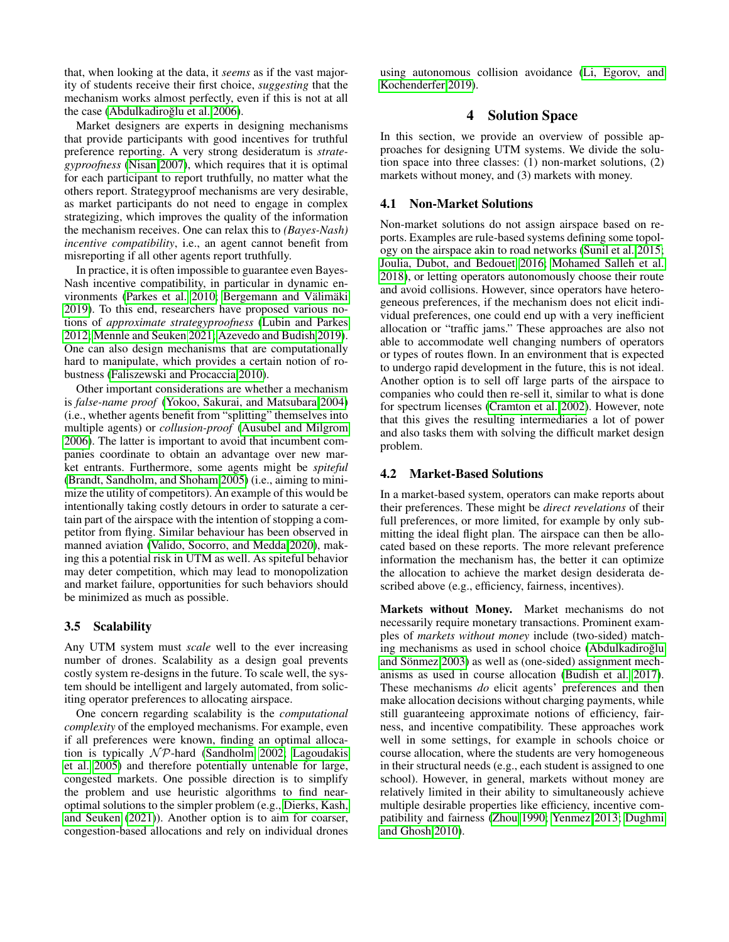that, when looking at the data, it *seems* as if the vast majority of students receive their first choice, *suggesting* that the mechanism works almost perfectly, even if this is not at all the case (Abdulkadiroğlu et al. 2006).

Market designers are experts in designing mechanisms that provide participants with good incentives for truthful preference reporting. A very strong desideratum is *strategyproofness* [\(Nisan 2007\)](#page-6-10), which requires that it is optimal for each participant to report truthfully, no matter what the others report. Strategyproof mechanisms are very desirable, as market participants do not need to engage in complex strategizing, which improves the quality of the information the mechanism receives. One can relax this to *(Bayes-Nash) incentive compatibility*, i.e., an agent cannot benefit from misreporting if all other agents report truthfully.

In practice, it is often impossible to guarantee even Bayes-Nash incentive compatibility, in particular in dynamic en-vironments [\(Parkes et al. 2010;](#page-6-11) Bergemann and Välimäki [2019\)](#page-5-22). To this end, researchers have proposed various notions of *approximate strategyproofness* [\(Lubin and Parkes](#page-6-12) [2012;](#page-6-12) [Mennle and Seuken 2021;](#page-6-13) [Azevedo and Budish 2019\)](#page-5-23). One can also design mechanisms that are computationally hard to manipulate, which provides a certain notion of robustness [\(Faliszewski and Procaccia 2010\)](#page-5-24).

Other important considerations are whether a mechanism is *false-name proof* [\(Yokoo, Sakurai, and Matsubara 2004\)](#page-6-14) (i.e., whether agents benefit from "splitting" themselves into multiple agents) or *collusion-proof* [\(Ausubel and Milgrom](#page-5-25) [2006\)](#page-5-25). The latter is important to avoid that incumbent companies coordinate to obtain an advantage over new market entrants. Furthermore, some agents might be *spiteful* [\(Brandt, Sandholm, and Shoham 2005\)](#page-5-26) (i.e., aiming to minimize the utility of competitors). An example of this would be intentionally taking costly detours in order to saturate a certain part of the airspace with the intention of stopping a competitor from flying. Similar behaviour has been observed in manned aviation [\(Valido, Socorro, and Medda 2020\)](#page-6-15), making this a potential risk in UTM as well. As spiteful behavior may deter competition, which may lead to monopolization and market failure, opportunities for such behaviors should be minimized as much as possible.

### 3.5 Scalability

Any UTM system must *scale* well to the ever increasing number of drones. Scalability as a design goal prevents costly system re-designs in the future. To scale well, the system should be intelligent and largely automated, from soliciting operator preferences to allocating airspace.

One concern regarding scalability is the *computational complexity* of the employed mechanisms. For example, even if all preferences were known, finding an optimal allocation is typically  $N \mathcal{P}$ -hard [\(Sandholm 2002;](#page-6-16) [Lagoudakis](#page-6-17) [et al. 2005\)](#page-6-17) and therefore potentially untenable for large, congested markets. One possible direction is to simplify the problem and use heuristic algorithms to find nearoptimal solutions to the simpler problem (e.g., [Dierks, Kash,](#page-5-27) [and Seuken](#page-5-27) [\(2021\)](#page-5-27)). Another option is to aim for coarser, congestion-based allocations and rely on individual drones

using autonomous collision avoidance [\(Li, Egorov, and](#page-6-18) [Kochenderfer 2019\)](#page-6-18).

### 4 Solution Space

<span id="page-3-1"></span>In this section, we provide an overview of possible approaches for designing UTM systems. We divide the solution space into three classes: (1) non-market solutions, (2) markets without money, and (3) markets with money.

#### 4.1 Non-Market Solutions

Non-market solutions do not assign airspace based on reports. Examples are rule-based systems defining some topology on the airspace akin to road networks [\(Sunil et al. 2015;](#page-6-19) [Joulia, Dubot, and Bedouet 2016;](#page-5-28) [Mohamed Salleh et al.](#page-6-20) [2018\)](#page-6-20), or letting operators autonomously choose their route and avoid collisions. However, since operators have heterogeneous preferences, if the mechanism does not elicit individual preferences, one could end up with a very inefficient allocation or "traffic jams." These approaches are also not able to accommodate well changing numbers of operators or types of routes flown. In an environment that is expected to undergo rapid development in the future, this is not ideal. Another option is to sell off large parts of the airspace to companies who could then re-sell it, similar to what is done for spectrum licenses [\(Cramton et al. 2002\)](#page-5-29). However, note that this gives the resulting intermediaries a lot of power and also tasks them with solving the difficult market design problem.

### <span id="page-3-0"></span>4.2 Market-Based Solutions

In a market-based system, operators can make reports about their preferences. These might be *direct revelations* of their full preferences, or more limited, for example by only submitting the ideal flight plan. The airspace can then be allocated based on these reports. The more relevant preference information the mechanism has, the better it can optimize the allocation to achieve the market design desiderata described above (e.g., efficiency, fairness, incentives).

Markets without Money. Market mechanisms do not necessarily require monetary transactions. Prominent examples of *markets without money* include (two-sided) matching mechanisms as used in school choice (Abdulkadiroğlu and Sönmez 2003) as well as (one-sided) assignment mechanisms as used in course allocation [\(Budish et al. 2017\)](#page-5-9). These mechanisms *do* elicit agents' preferences and then make allocation decisions without charging payments, while still guaranteeing approximate notions of efficiency, fairness, and incentive compatibility. These approaches work well in some settings, for example in schools choice or course allocation, where the students are very homogeneous in their structural needs (e.g., each student is assigned to one school). However, in general, markets without money are relatively limited in their ability to simultaneously achieve multiple desirable properties like efficiency, incentive compatibility and fairness [\(Zhou 1990;](#page-6-21) [Yenmez 2013;](#page-6-22) [Dughmi](#page-5-30) [and Ghosh 2010\)](#page-5-30).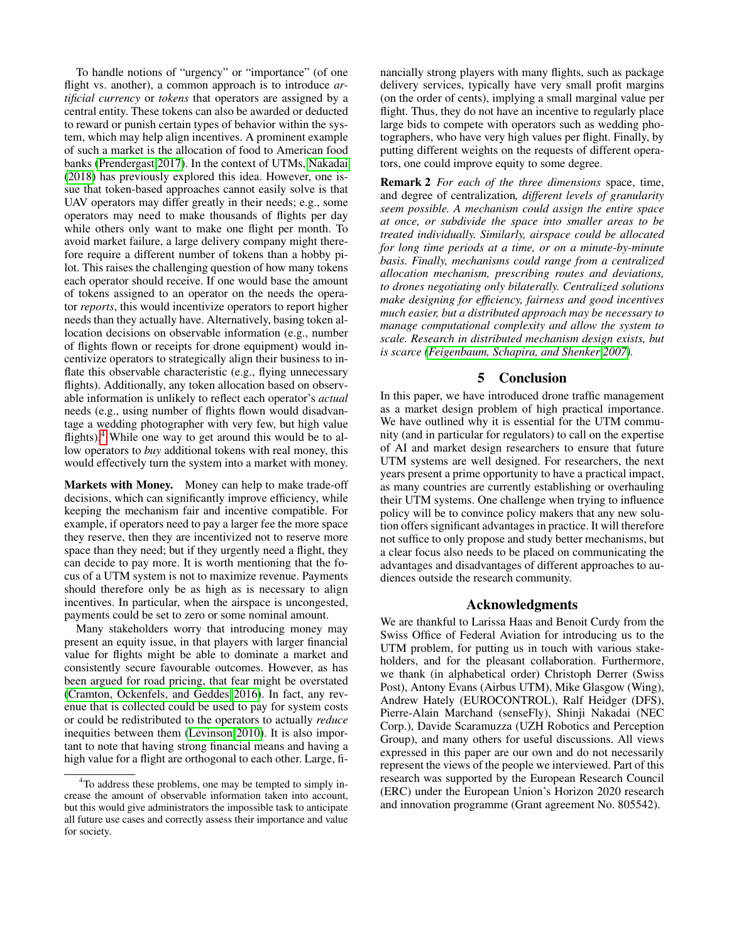To handle notions of "urgency" or "importance" (of one flight vs. another), a common approach is to introduce *artificial currency* or *tokens* that operators are assigned by a central entity. These tokens can also be awarded or deducted to reward or punish certain types of behavior within the system, which may help align incentives. A prominent example of such a market is the allocation of food to American food banks [\(Prendergast 2017\)](#page-6-23). In the context of UTMs, [Nakadai](#page-6-24) [\(2018\)](#page-6-24) has previously explored this idea. However, one issue that token-based approaches cannot easily solve is that UAV operators may differ greatly in their needs; e.g., some operators may need to make thousands of flights per day while others only want to make one flight per month. To avoid market failure, a large delivery company might therefore require a different number of tokens than a hobby pilot. This raises the challenging question of how many tokens each operator should receive. If one would base the amount of tokens assigned to an operator on the needs the operator *reports*, this would incentivize operators to report higher needs than they actually have. Alternatively, basing token allocation decisions on observable information (e.g., number of flights flown or receipts for drone equipment) would incentivize operators to strategically align their business to inflate this observable characteristic (e.g., flying unnecessary flights). Additionally, any token allocation based on observable information is unlikely to reflect each operator's *actual* needs (e.g., using number of flights flown would disadvantage a wedding photographer with very few, but high value flights). $4$  While one way to get around this would be to allow operators to *buy* additional tokens with real money, this would effectively turn the system into a market with money.

Markets with Money. Money can help to make trade-off decisions, which can significantly improve efficiency, while keeping the mechanism fair and incentive compatible. For example, if operators need to pay a larger fee the more space they reserve, then they are incentivized not to reserve more space than they need; but if they urgently need a flight, they can decide to pay more. It is worth mentioning that the focus of a UTM system is not to maximize revenue. Payments should therefore only be as high as is necessary to align incentives. In particular, when the airspace is uncongested, payments could be set to zero or some nominal amount.

Many stakeholders worry that introducing money may present an equity issue, in that players with larger financial value for flights might be able to dominate a market and consistently secure favourable outcomes. However, as has been argued for road pricing, that fear might be overstated [\(Cramton, Ockenfels, and Geddes 2016\)](#page-5-31). In fact, any revenue that is collected could be used to pay for system costs or could be redistributed to the operators to actually *reduce* inequities between them [\(Levinson 2010\)](#page-6-25). It is also important to note that having strong financial means and having a high value for a flight are orthogonal to each other. Large, financially strong players with many flights, such as package delivery services, typically have very small profit margins (on the order of cents), implying a small marginal value per flight. Thus, they do not have an incentive to regularly place large bids to compete with operators such as wedding photographers, who have very high values per flight. Finally, by putting different weights on the requests of different operators, one could improve equity to some degree.

Remark 2 *For each of the three dimensions* space, time, and degree of centralization*, different levels of granularity seem possible. A mechanism could assign the entire space at once, or subdivide the space into smaller areas to be treated individually. Similarly, airspace could be allocated for long time periods at a time, or on a minute-by-minute basis. Finally, mechanisms could range from a centralized allocation mechanism, prescribing routes and deviations, to drones negotiating only bilaterally. Centralized solutions make designing for efficiency, fairness and good incentives much easier, but a distributed approach may be necessary to manage computational complexity and allow the system to scale. Research in distributed mechanism design exists, but is scarce [\(Feigenbaum, Schapira, and Shenker 2007\)](#page-5-32).*

### 5 Conclusion

In this paper, we have introduced drone traffic management as a market design problem of high practical importance. We have outlined why it is essential for the UTM community (and in particular for regulators) to call on the expertise of AI and market design researchers to ensure that future UTM systems are well designed. For researchers, the next years present a prime opportunity to have a practical impact, as many countries are currently establishing or overhauling their UTM systems. One challenge when trying to influence policy will be to convince policy makers that any new solution offers significant advantages in practice. It will therefore not suffice to only propose and study better mechanisms, but a clear focus also needs to be placed on communicating the advantages and disadvantages of different approaches to audiences outside the research community.

#### Acknowledgments

We are thankful to Larissa Haas and Benoit Curdy from the Swiss Office of Federal Aviation for introducing us to the UTM problem, for putting us in touch with various stakeholders, and for the pleasant collaboration. Furthermore, we thank (in alphabetical order) Christoph Derrer (Swiss Post), Antony Evans (Airbus UTM), Mike Glasgow (Wing), Andrew Hately (EUROCONTROL), Ralf Heidger (DFS), Pierre-Alain Marchand (senseFly), Shinji Nakadai (NEC Corp.), Davide Scaramuzza (UZH Robotics and Perception Group), and many others for useful discussions. All views expressed in this paper are our own and do not necessarily represent the views of the people we interviewed. Part of this research was supported by the European Research Council (ERC) under the European Union's Horizon 2020 research and innovation programme (Grant agreement No. 805542).

<span id="page-4-0"></span><sup>4</sup>To address these problems, one may be tempted to simply increase the amount of observable information taken into account, but this would give administrators the impossible task to anticipate all future use cases and correctly assess their importance and value for society.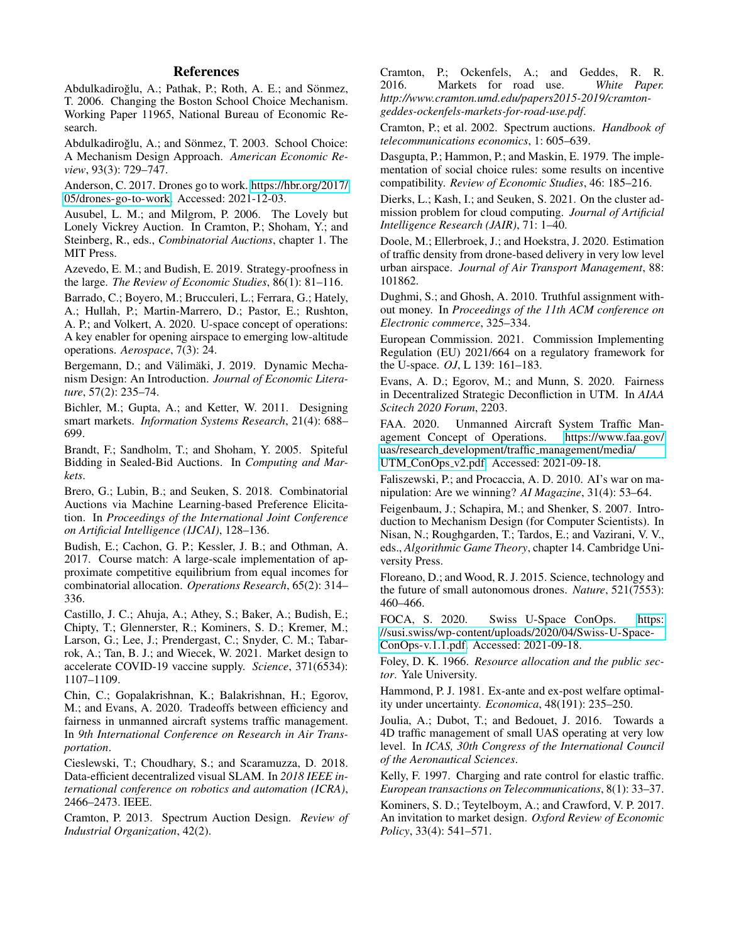### **References**

<span id="page-5-21"></span>Abdulkadiroğlu, A.; Pathak, P.; Roth, A. E.; and Sönmez, T. 2006. Changing the Boston School Choice Mechanism. Working Paper 11965, National Bureau of Economic Research.

<span id="page-5-20"></span>Abdulkadiroğlu, A.; and Sönmez, T. 2003. School Choice: A Mechanism Design Approach. *American Economic Review*, 93(3): 729–747.

<span id="page-5-1"></span>Anderson, C. 2017. Drones go to work. [https://hbr.org/2017/](https://hbr.org/2017/05/drones-go-to-work) [05/drones-go-to-work.](https://hbr.org/2017/05/drones-go-to-work) Accessed: 2021-12-03.

<span id="page-5-25"></span>Ausubel, L. M.; and Milgrom, P. 2006. The Lovely but Lonely Vickrey Auction. In Cramton, P.; Shoham, Y.; and Steinberg, R., eds., *Combinatorial Auctions*, chapter 1. The MIT Press.

<span id="page-5-23"></span>Azevedo, E. M.; and Budish, E. 2019. Strategy-proofness in the large. *The Review of Economic Studies*, 86(1): 81–116.

<span id="page-5-3"></span>Barrado, C.; Boyero, M.; Brucculeri, L.; Ferrara, G.; Hately, A.; Hullah, P.; Martin-Marrero, D.; Pastor, E.; Rushton, A. P.; and Volkert, A. 2020. U-space concept of operations: A key enabler for opening airspace to emerging low-altitude operations. *Aerospace*, 7(3): 24.

<span id="page-5-22"></span>Bergemann, D.; and Välimäki, J. 2019. Dynamic Mechanism Design: An Introduction. *Journal of Economic Literature*, 57(2): 235–74.

<span id="page-5-17"></span>Bichler, M.; Gupta, A.; and Ketter, W. 2011. Designing smart markets. *Information Systems Research*, 21(4): 688– 699.

<span id="page-5-26"></span>Brandt, F.; Sandholm, T.; and Shoham, Y. 2005. Spiteful Bidding in Sealed-Bid Auctions. In *Computing and Markets*.

<span id="page-5-19"></span>Brero, G.; Lubin, B.; and Seuken, S. 2018. Combinatorial Auctions via Machine Learning-based Preference Elicitation. In *Proceedings of the International Joint Conference on Artificial Intelligence (IJCAI)*, 128–136.

<span id="page-5-9"></span>Budish, E.; Cachon, G. P.; Kessler, J. B.; and Othman, A. 2017. Course match: A large-scale implementation of approximate competitive equilibrium from equal incomes for combinatorial allocation. *Operations Research*, 65(2): 314– 336.

<span id="page-5-10"></span>Castillo, J. C.; Ahuja, A.; Athey, S.; Baker, A.; Budish, E.; Chipty, T.; Glennerster, R.; Kominers, S. D.; Kremer, M.; Larson, G.; Lee, J.; Prendergast, C.; Snyder, C. M.; Tabarrok, A.; Tan, B. J.; and Wiecek, W. 2021. Market design to accelerate COVID-19 vaccine supply. *Science*, 371(6534): 1107–1109.

<span id="page-5-12"></span>Chin, C.; Gopalakrishnan, K.; Balakrishnan, H.; Egorov, M.; and Evans, A. 2020. Tradeoffs between efficiency and fairness in unmanned aircraft systems traffic management. In *9th International Conference on Research in Air Transportation*.

<span id="page-5-18"></span>Cieslewski, T.; Choudhary, S.; and Scaramuzza, D. 2018. Data-efficient decentralized visual SLAM. In *2018 IEEE international conference on robotics and automation (ICRA)*, 2466–2473. IEEE.

<span id="page-5-8"></span>Cramton, P. 2013. Spectrum Auction Design. *Review of Industrial Organization*, 42(2).

<span id="page-5-31"></span>Cramton, P.; Ockenfels, A.; and Geddes, R. R. 2016. Markets for road use. White Paper. 2016. Markets for road use. *http://www.cramton.umd.edu/papers2015-2019/cramtongeddes-ockenfels-markets-for-road-use.pdf*.

<span id="page-5-29"></span>Cramton, P.; et al. 2002. Spectrum auctions. *Handbook of telecommunications economics*, 1: 605–639.

<span id="page-5-16"></span>Dasgupta, P.; Hammon, P.; and Maskin, E. 1979. The implementation of social choice rules: some results on incentive compatibility. *Review of Economic Studies*, 46: 185–216.

<span id="page-5-27"></span>Dierks, L.; Kash, I.; and Seuken, S. 2021. On the cluster admission problem for cloud computing. *Journal of Artificial Intelligence Research (JAIR)*, 71: 1–40.

<span id="page-5-2"></span>Doole, M.; Ellerbroek, J.; and Hoekstra, J. 2020. Estimation of traffic density from drone-based delivery in very low level urban airspace. *Journal of Air Transport Management*, 88: 101862.

<span id="page-5-30"></span>Dughmi, S.; and Ghosh, A. 2010. Truthful assignment without money. In *Proceedings of the 11th ACM conference on Electronic commerce*, 325–334.

<span id="page-5-4"></span>European Commission. 2021. Commission Implementing Regulation (EU) 2021/664 on a regulatory framework for the U-space. *OJ*, L 139: 161–183.

<span id="page-5-13"></span>Evans, A. D.; Egorov, M.; and Munn, S. 2020. Fairness in Decentralized Strategic Deconfliction in UTM. In *AIAA Scitech 2020 Forum*, 2203.

<span id="page-5-5"></span>FAA. 2020. Unmanned Aircraft System Traffic Management Concept of Operations. [https://www.faa.gov/](https://www.faa.gov/uas/research_development/traffic_management/media/UTM_ConOps_v2.pdf) uas/research development/traffic [management/media/](https://www.faa.gov/uas/research_development/traffic_management/media/UTM_ConOps_v2.pdf) UTM\_[ConOps](https://www.faa.gov/uas/research_development/traffic_management/media/UTM_ConOps_v2.pdf)\_v2.pdf. Accessed: 2021-09-18.

<span id="page-5-24"></span>Faliszewski, P.; and Procaccia, A. D. 2010. AI's war on manipulation: Are we winning? *AI Magazine*, 31(4): 53–64.

<span id="page-5-32"></span>Feigenbaum, J.; Schapira, M.; and Shenker, S. 2007. Introduction to Mechanism Design (for Computer Scientists). In Nisan, N.; Roughgarden, T.; Tardos, E.; and Vazirani, V. V., eds., *Algorithmic Game Theory*, chapter 14. Cambridge University Press.

<span id="page-5-0"></span>Floreano, D.; and Wood, R. J. 2015. Science, technology and the future of small autonomous drones. *Nature*, 521(7553): 460–466.

<span id="page-5-6"></span>FOCA, S. 2020. Swiss U-Space ConOps. [https:](https://susi.swiss/wp-content/uploads/2020/04/Swiss-U-Space-ConOps-v.1.1.pdf) [//susi.swiss/wp-content/uploads/2020/04/Swiss-U-Space-](https://susi.swiss/wp-content/uploads/2020/04/Swiss-U-Space-ConOps-v.1.1.pdf)[ConOps-v.1.1.pdf.](https://susi.swiss/wp-content/uploads/2020/04/Swiss-U-Space-ConOps-v.1.1.pdf) Accessed: 2021-09-18.

<span id="page-5-15"></span>Foley, D. K. 1966. *Resource allocation and the public sector*. Yale University.

<span id="page-5-11"></span>Hammond, P. J. 1981. Ex-ante and ex-post welfare optimality under uncertainty. *Economica*, 48(191): 235–250.

<span id="page-5-28"></span>Joulia, A.; Dubot, T.; and Bedouet, J. 2016. Towards a 4D traffic management of small UAS operating at very low level. In *ICAS, 30th Congress of the International Council of the Aeronautical Sciences*.

<span id="page-5-14"></span>Kelly, F. 1997. Charging and rate control for elastic traffic. *European transactions on Telecommunications*, 8(1): 33–37.

<span id="page-5-7"></span>Kominers, S. D.; Teytelboym, A.; and Crawford, V. P. 2017. An invitation to market design. *Oxford Review of Economic Policy*, 33(4): 541–571.